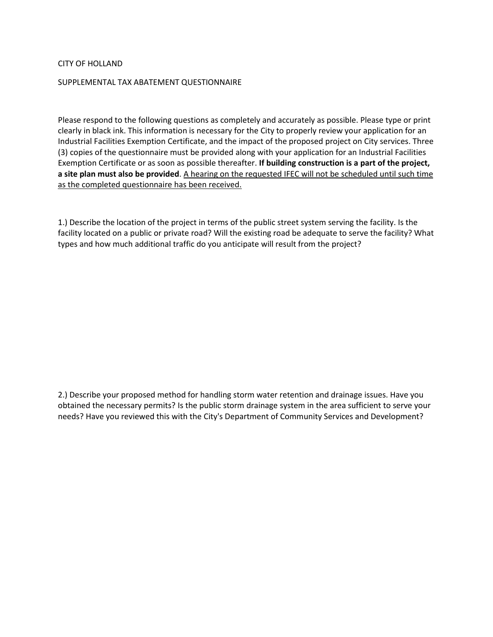## CITY OF HOLLAND

## SUPPLEMENTAL TAX ABATEMENT QUESTIONNAIRE

Please respond to the following questions as completely and accurately as possible. Please type or print clearly in black ink. This information is necessary for the City to properly review your application for an Industrial Facilities Exemption Certificate, and the impact of the proposed project on City services. Three (3) copies of the questionnaire must be provided along with your application for an Industrial Facilities Exemption Certificate or as soon as possible thereafter. **If building construction is a part of the project, a site plan must also be provided**. A hearing on the requested IFEC will not be scheduled until such time as the completed questionnaire has been received.

1.) Describe the location of the project in terms of the public street system serving the facility. Is the facility located on a public or private road? Will the existing road be adequate to serve the facility? What types and how much additional traffic do you anticipate will result from the project?

2.) Describe your proposed method for handling storm water retention and drainage issues. Have you obtained the necessary permits? Is the public storm drainage system in the area sufficient to serve your needs? Have you reviewed this with the City's Department of Community Services and Development?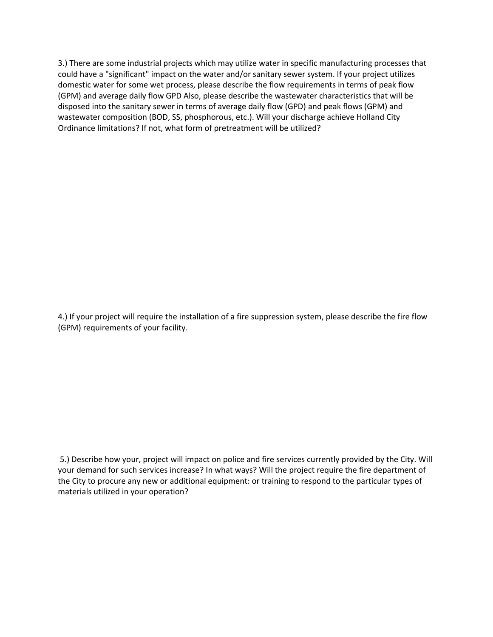3.) There are some industrial projects which may utilize water in specific manufacturing processes that could have a "significant" impact on the water and/or sanitary sewer system. If your project utilizes domestic water for some wet process, please describe the flow requirements in terms of peak flow (GPM) and average daily flow GPD Also, please describe the wastewater characteristics that will be disposed into the sanitary sewer in terms of average daily flow (GPD) and peak flows (GPM) and wastewater composition (BOD, SS, phosphorous, etc.). Will your discharge achieve Holland City Ordinance limitations? If not, what form of pretreatment will be utilized?

4.) If your project will require the installation of a fire suppression system, please describe the fire flow (GPM) requirements of your facility.

5.) Describe how your, project will impact on police and fire services currently provided by the City. Will your demand for such services increase? In what ways? Will the project require the fire department of the City to procure any new or additional equipment: or training to respond to the particular types of materials utilized in your operation?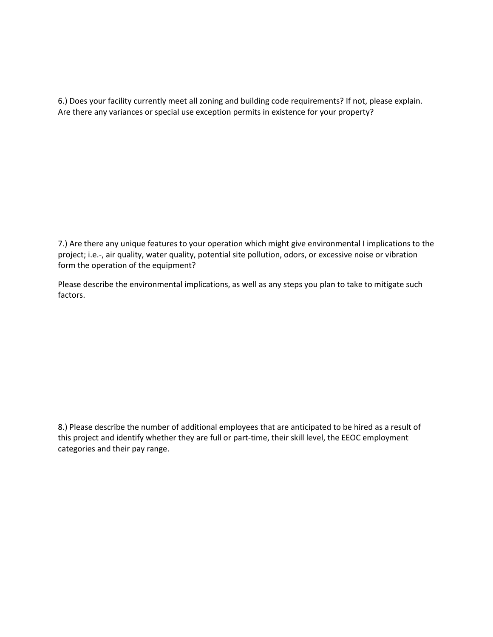6.) Does your facility currently meet all zoning and building code requirements? If not, please explain. Are there any variances or special use exception permits in existence for your property?

7.) Are there any unique features to your operation which might give environmental I implications to the project; i.e.-, air quality, water quality, potential site pollution, odors, or excessive noise or vibration form the operation of the equipment?

Please describe the environmental implications, as well as any steps you plan to take to mitigate such factors.

8.) Please describe the number of additional employees that are anticipated to be hired as a result of this project and identify whether they are full or part-time, their skill level, the EEOC employment categories and their pay range.